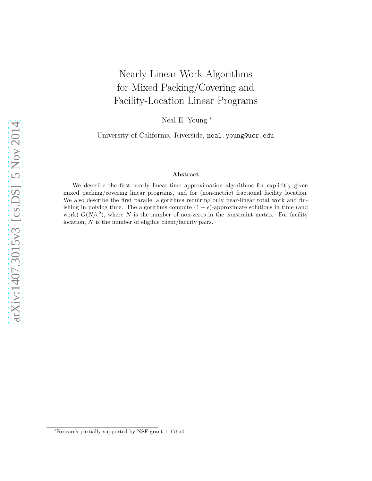# Nearly Linear-Work Algorithms for Mixed Packing/Covering and Facility-Location Linear Programs

Neal E. Young <sup>∗</sup>

University of California, Riverside, neal.young@ucr.edu

#### Abstract

We describe the first nearly linear-time approximation algorithms for explicitly given mixed packing/covering linear programs, and for (non-metric) fractional facility location. We also describe the first parallel algorithms requiring only near-linear total work and finishing in polylog time. The algorithms compute  $(1 + \epsilon)$ -approximate solutions in time (and work)  $\tilde{O}(N/\epsilon^2)$ , where N is the number of non-zeros in the constraint matrix. For facility location, N is the number of eligible client/facility pairs.

<sup>∗</sup>Research partially supported by NSF grant 1117954.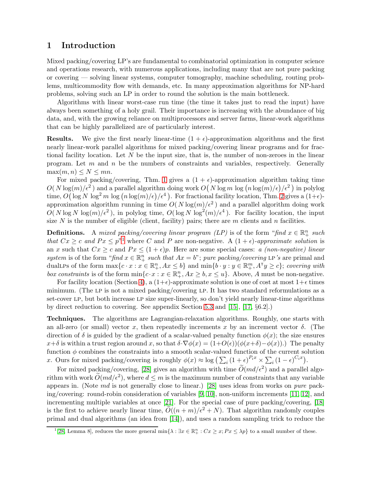# 1 Introduction

Mixed packing/covering LP's are fundamental to combinatorial optimization in computer science and operations research, with numerous applications, including many that are not pure packing or covering — solving linear systems, computer tomography, machine scheduling, routing problems, multicommodity flow with demands, etc. In many approximation algorithms for NP-hard problems, solving such an LP in order to round the solution is the main bottleneck.

Algorithms with linear worst-case run time (the time it takes just to read the input) have always been something of a holy grail. Their importance is increasing with the abundance of big data, and, with the growing reliance on multiprocessors and server farms, linear-work algorithms that can be highly parallelized are of particularly interest.

**Results.** We give the first nearly linear-time  $(1 + \epsilon)$ -approximation algorithms and the first nearly linear-work parallel algorithms for mixed packing/covering linear programs and for fractional facility location. Let N be the input size, that is, the number of non-zeroes in the linear program. Let  $m$  and  $n$  be the numbers of constraints and variables, respectively. Generally  $\max(m, n) \leq N \leq mn$ .

For mixed packing/covering, Thm. [1](#page-2-0) gives a  $(1 + \epsilon)$ -approximation algorithm taking time  $O(N \log(m)/\epsilon^2)$  and a parallel algorithm doing work  $O(N \log m \log (n \log(m)/\epsilon)/\epsilon^2)$  in polylog time,  $O(\log N \log^2 m \log (n \log(m)/\epsilon)/\epsilon^4)$ . For fractional facility location, Thm. [2](#page-7-0) gives a  $(1+\epsilon)$ approximation algorithm running in time  $O(N \log(m)/\epsilon^2)$  and a parallel algorithm doing work  $O(N \log N \log(m)/\epsilon^2)$ , in polylog time,  $O(\log N \log^2(m)/\epsilon^4)$ . For facility location, the input size N is the number of eligible (client, facility) pairs; there are  $m$  clients and  $n$  facilities.

**Definitions.** A mixed packing/covering linear program (LP) is of the form "find  $x \in \mathbb{R}^n_+$  such that  $Cx \geq c$  and  $Px \leq p^{n}$  where C and P are non-negative. A  $(1 + \epsilon)$  $(1 + \epsilon)$  $(1 + \epsilon)$ -approximate solution is an x such that  $Cx \geq c$  and  $Px \leq (1 + \epsilon)p$ . Here are some special cases: a *(non-negative) linear* system is of the form "find  $x \in \mathbb{R}^n_+$  such that  $Ax = b$ "; pure packing/covering LP's are primal and dual LPs of the form  $\max\{c \cdot x : x \in \mathbb{R}_+^n, Ax \leq b\}$  and  $\min\{b \cdot y : y \in \mathbb{R}_+^m, A^{\mathsf{T}}y \geq c\}$ ; covering with box constraints is of the form  $\min\{c \cdot x : x \in \mathbb{R}_+^n, Ax \geq b, x \leq u\}$ . Above, A must be non-negative.

For facility location (Section [4\)](#page-7-1), a  $(1+\epsilon)$ -approximate solution is one of cost at most  $1+\epsilon$  times minimum. (The LP is not a mixed packing/covering LP. It has two standard reformulations as a set-cover LP, but both increase LP size super-linearly, so don't yield nearly linear-time algorithms by direct reduction to covering. See appendix Section [5.3](#page-14-0) and [\[15\]](#page-11-0), [\[17,](#page-11-1) §6.2].)

Techniques. The algorithms are Lagrangian-relaxation algorithms. Roughly, one starts with an all-zero (or small) vector x, then repeatedly increments x by an increment vector  $\delta$ . (The direction of  $\delta$  is guided by the gradient of a scalar-valued penalty function  $\phi(x)$ ; the size ensures  $x+\delta$  is within a trust region around x, so that  $\delta \cdot \nabla \phi(x) = (1+O(\epsilon))(\phi(x+\delta)-\phi(x))$ . The penalty function  $\phi$  combines the constraints into a smooth scalar-valued function of the current solution x. Ours for mixed packing/covering is roughly  $\phi(x) \approx \log \left( \sum_i (1+\epsilon)^{P_i x} \times \sum_i (1-\epsilon)^{C_i x} \right)$ .

For mixed packing/covering, [\[28\]](#page-12-0) gives an algorithm with time  $\tilde{O}(md/\epsilon^2)$  and a parallel algorithm with work  $\tilde{O}(md/\epsilon^2)$ , where  $d \leq m$  is the maximum number of constraints that any variable appears in. (Note  $md$  is not generally close to linear.) [\[28\]](#page-12-0) uses ideas from works on *pure* packing/covering: round-robin consideration of variables [\[9,](#page-11-2) [10\]](#page-11-3), non-uniform increments [\[11,](#page-11-4) [12\]](#page-11-5), and incrementing multiple variables at once [\[21\]](#page-12-1). For the special case of pure packing/covering, [\[18\]](#page-11-6) is the first to achieve nearly linear time,  $O((n + m)/\epsilon^2 + N)$ . That algorithm randomly couples primal and dual algorithms (an idea from [\[14\]](#page-11-7)), and uses a random sampling trick to reduce the

<span id="page-1-0"></span><sup>&</sup>lt;sup>1</sup>[\[28,](#page-12-0) Lemma 8], reduces the more general min $\{\lambda : \exists x \in \mathbb{R}_+^n : Cx \geq x; Px \leq \lambda p\}$  to a small number of these.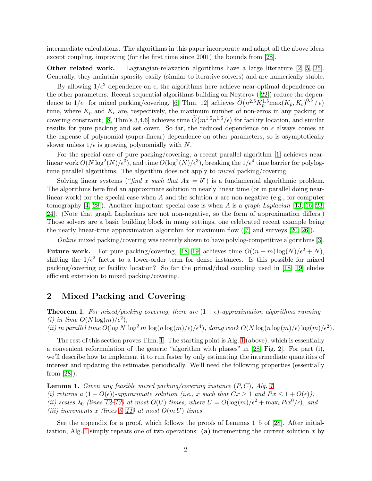intermediate calculations. The algorithms in this paper incorporate and adapt all the above ideas except coupling, improving (for the first time since 2001) the bounds from [\[28\]](#page-12-0).

Other related work. Lagrangian-relaxation algorithms have a large literature [\[2,](#page-11-8) [5,](#page-11-9) [25\]](#page-12-2). Generally, they maintain sparsity easily (similar to iterative solvers) and are numerically stable.

By allowing  $1/\epsilon^2$  dependence on  $\epsilon$ , the algorithms here achieve near-optimal dependence on the other parameters. Recent sequential algorithms building on Nesterov ([\[22\]](#page-12-3)) reduce the dependence to  $1/\epsilon$ : for mixed packing/covering, [\[6,](#page-11-10) Thm. 12] achieves  $\widetilde{O}(n^{2.5}K_p^{1.5} \max(K_p, K_c)^{0.5}/\epsilon)$ time, where  $K_p$  and  $K_c$  are, respectively, the maximum number of non-zeros in any packing or covering constraint; [\[8,](#page-11-11) Thm's 3,4,6] achieves time  $\widetilde{O}(m^{1.5}n^{1.5}/\epsilon)$  for facility location, and similar results for pure packing and set cover. So far, the reduced dependence on  $\epsilon$  always comes at the expense of polynomial (super-linear) dependence on other parameters, so is asymptotically slower unless  $1/\epsilon$  is growing polynomially with N.

For the special case of pure packing/covering, a recent parallel algorithm [\[1\]](#page-10-0) achieves nearlinear work  $O(N \log^2(N) / \epsilon^3)$ , and time  $O(\log^2(N) / \epsilon^3)$ , breaking the  $1/\epsilon^4$  time barrier for polylogtime parallel algorithms. The algorithm does not apply to *mixed* packing/covering.

Solving linear systems ("find x such that  $Ax = b$ ") is a fundamental algorithmic problem. The algorithms here find an approximate solution in nearly linear time (or in parallel doing nearlinear-work) for the special case when A and the solution x are non-negative (e.g., for computer tomography [\[4,](#page-11-12) [28\]](#page-12-0)). Another important special case is when A is a graph Laplacian [\[13,](#page-11-13) [16,](#page-11-14) [23,](#page-12-4) [24\]](#page-12-5). (Note that graph Laplacians are not non-negative, so the form of approximation differs.) Those solvers are a basic building block in many settings, one celebrated recent example being the nearly linear-time approximation algorithm for maximum flow ([\[7\]](#page-11-15) and surveys [\[20,](#page-11-16) [26\]](#page-12-6)).

Online mixed packing/covering was recently shown to have polylog-competitive algorithms [\[3\]](#page-11-17).

**Future work.** For pure packing/covering, [\[18,](#page-11-6) [19\]](#page-11-18) achieves time  $O((n+m)\log(N)/\epsilon^2 + N)$ , shifting the  $1/\epsilon^2$  factor to a lower-order term for dense instances. Is this possible for mixed packing/covering or facility location? So far the primal/dual coupling used in [\[18,](#page-11-6) [19\]](#page-11-18) eludes efficient extension to mixed packing/covering.

### 2 Mixed Packing and Covering

<span id="page-2-0"></span>**Theorem 1.** For mixed/packing covering, there are  $(1 + \epsilon)$ -approximation algorithms running (i) in time  $O(N \log(m)/\epsilon^2)$ ,

(ii) in parallel time  $O(\log N \log^2 m \log(n \log(m)/\epsilon)/\epsilon^4)$ , doing work  $O(N \log(n \log(m)/\epsilon) \log(m)/\epsilon^2)$ .

The rest of this section proves Thm. [1.](#page-2-0) The starting point is Alg. [1](#page-3-0) (above), which is essentially a convenient reformulation of the generic "algorithm with phases" in [\[28,](#page-12-0) Fig. 2]. For part (i), we'll describe how to implement it to run faster by only estimating the intermediate quantities of interest and updating the estimates periodically. We'll need the following properties (essentially from [\[28\]](#page-12-0)):

<span id="page-2-1"></span>**Lemma [1](#page-3-0).** Given any feasible mixed packing/covering instance  $(P, C)$ , Alg. 1 (i) returns a  $(1+O(\epsilon))$ -approximate solution (i.e., x such that  $Cx \geq 1$  and  $Px \leq 1+O(\epsilon)$ ), (ii) scales  $\lambda_0$  (lines 12-13) at most  $O(U)$  times, where  $U = O(\log(m)/\epsilon^2 + \max_i P_i x^0/\epsilon)$ , and (iii) increments x (lines [5–11\)](#page-3-0) at most  $O(m U)$  times.

See the appendix for a proof, which follows the proofs of Lemmas 1–5 of [\[28\]](#page-12-0). After initial-ization, Alg. [1](#page-3-0) simply repeats one of two operations: (a) incrementing the current solution x by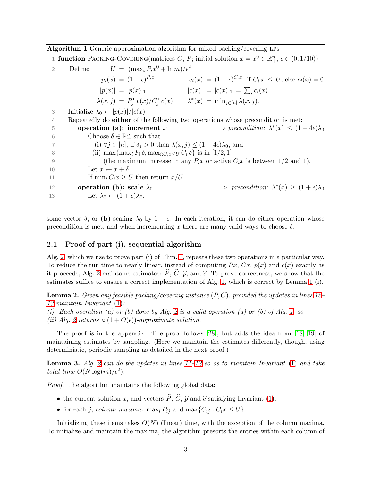<span id="page-3-0"></span>

|  | <b>Algorithm 1</b> Generic approximation algorithm for mixed packing/covering LPs |  |  |  |
|--|-----------------------------------------------------------------------------------|--|--|--|
|--|-----------------------------------------------------------------------------------|--|--|--|

1 function PACKING-COVERING(matrices C, P; initial solution  $x = x^0 \in \mathbb{R}^n_+$ ,  $\epsilon \in (0, 1/10)$ ) 2 Define:  $U = (\max_i P_i x^0 + \ln m)/\epsilon^2$  $p_i(x) = (1 + \epsilon)^{P_i x}$   $c_i(x) = (1 - \epsilon)^{C_i x}$  if  $C_i x \le U$ , else  $c_i(x) = 0$  $|p(x)| = |p(x)|_1$   $|c(x)| = |c(x)|_1 = \sum_i c_i(x)$  $\lambda(x,j) = P_j^{\mathsf{T}} p(x) / C_j^{\mathsf{T}} c(x)$   $\lambda^*(x) = \min_{j \in [n]} \lambda(x,j).$ 3 Initialize  $\lambda_0 \leftarrow |p(x)|/|c(x)|$ . 4 Repeatedly do either of the following two operations whose precondition is met: 5 operation (a): increment x \* $(x) \leq (1+4\epsilon)\lambda_0$ 6 Choose  $\delta \in \mathbb{R}^n_+$  such that 7 (i)  $\forall j \in [n]$ , if  $\delta_j > 0$  then  $\lambda(x, j) \leq (1 + 4\epsilon)\lambda_0$ , and 8 (ii)  $\max\{\max_i P_i \delta, \max_{i:C_i x \leq U} C_i \delta\}$  is in [1/2, 1] 9 (the maximum increase in any  $P_i x$  or active  $C_i x$  is between 1/2 and 1). 10 Let  $x \leftarrow x + \delta$ . 11 If  $\min_i C_i x \geq U$  then return  $x/U$ . 12 operation (b): scale  $\lambda_0$ \* $(x) \geq (1+\epsilon)\lambda_0$ 

some vector  $\delta$ , or (b) scaling  $\lambda_0$  by  $1 + \epsilon$ . In each iteration, it can do either operation whose precondition is met, and when incrementing x there are many valid ways to choose  $\delta$ .

#### 2.1 Proof of part (i), sequential algorithm

13 Let  $\lambda_0 \leftarrow (1 + \epsilon) \lambda_0$ .

Alg. [2,](#page-4-0) which we use to prove part (i) of Thm. [1,](#page-2-0) repeats these two operations in a particular way. To reduce the run time to nearly linear, instead of computing  $Px, Cx, p(x)$  and  $c(x)$  exactly as it proceeds, Alg. [2](#page-4-0) maintains estimates:  $\hat{P}, \hat{C}, \hat{p}$ , and  $\hat{c}$ . To prove correctness, we show that the estimates suffice to ensure a correct implementation of Alg. [1,](#page-3-0) which is correct by Lemma [1](#page-2-1) (i).

<span id="page-3-1"></span>**Lemma 2.** Given any feasible packing/covering instance  $(P, C)$ , provided the updates in lines [12–](#page-4-1) [13](#page-4-1) maintain Invariant [\(1\)](#page-4-1):

- (i) Each operation (a) or (b) done by Alg. [2](#page-4-0) is a valid operation (a) or (b) of Alg. [1,](#page-3-0) so
- (ii) Alg. [2](#page-4-0) returns a  $(1+O(\epsilon))$ -approximate solution.

The proof is in the appendix. The proof follows [\[28\]](#page-12-0), but adds the idea from [\[18,](#page-11-6) [19\]](#page-11-18) of maintaining estimates by sampling. (Here we maintain the estimates differently, though, using deterministic, periodic sampling as detailed in the next proof.)

**Lemma 3.** Alg. [2](#page-4-0) can do the updates in lines  $11-12$  so as to maintain Invariant  $(1)$  and take total time  $O(N \log(m)/\epsilon^2)$ .

Proof. The algorithm maintains the following global data:

- the current solution x, and vectors  $\hat{P}, \hat{C}, \hat{p}$  and  $\hat{c}$  satisfying Invariant [\(1\)](#page-4-1);
- for each j, column maxima: max<sub>i</sub>  $P_{ij}$  and max $\{C_{ij} : C_i x \leq U\}$ .

Initializing these items takes  $O(N)$  (linear) time, with the exception of the column maxima. To initialize and maintain the maxima, the algorithm presorts the entries within each column of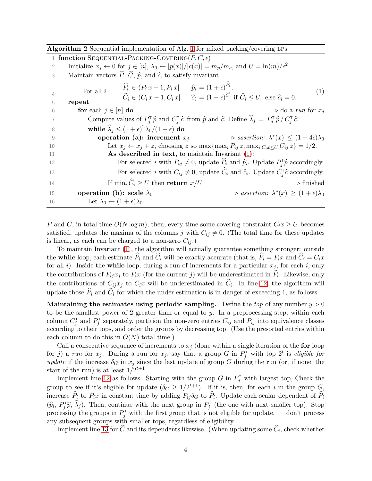<span id="page-4-1"></span><span id="page-4-0"></span>

|    | Algorithm 2 Sequential implementation of Alg. 1 for mixed packing/covering LPs                                                                                                        |  |  |  |
|----|---------------------------------------------------------------------------------------------------------------------------------------------------------------------------------------|--|--|--|
|    | 1 function SEQUENTIAL-PACKING-COVERING( $P, C, \epsilon$ )                                                                                                                            |  |  |  |
| 2  | Initialize $x_j \leftarrow 0$ for $j \in [n]$ , $\lambda_0 \leftarrow  p(x) / c(x)  = m_p/m_c$ , and $U = \ln(m)/\epsilon^2$ .                                                        |  |  |  |
| 3  | Maintain vectors $\widehat{P}$ , $\widehat{C}$ , $\widehat{p}$ , and $\widehat{c}$ , to satisfy invariant                                                                             |  |  |  |
|    | $\widehat{P}_i \in (P_i x - 1, P_i x]$ $\widehat{p}_i = (1 + \epsilon)^{\widehat{P}_i},$<br>For all $i$ :<br>(1)                                                                      |  |  |  |
| 4  | $\hat{C}_i \in (C_i x - 1, C_i x]$ $\hat{c}_i = (1 - \epsilon)^{\hat{C}_i}$ if $\hat{C}_i \leq U$ , else $\hat{c}_i = 0$ .                                                            |  |  |  |
| 5  | repeat                                                                                                                                                                                |  |  |  |
| 6  | for each $j \in [n]$ do<br>$\triangleright$ do a run for $x_i$                                                                                                                        |  |  |  |
| 7  | Compute values of $P_i^{\mathsf{T}}\hat{p}$ and $C_i^{\mathsf{T}}\hat{c}$ from $\hat{p}$ and $\hat{c}$ . Define $\hat{\lambda}_j = P_i^{\mathsf{T}}\hat{p}/C_i^{\mathsf{T}}\hat{c}$ . |  |  |  |
| 8  | while $\lambda_i \leq (1+\epsilon)^2 \lambda_0/(1-\epsilon)$ do                                                                                                                       |  |  |  |
| 9  | $\triangleright$ assertion: $\lambda^*(x) \leq (1+4\epsilon)\lambda_0$<br>operation (a): increment $x_i$                                                                              |  |  |  |
| 10 | Let $x_j \leftarrow x_j + z$ , choosing z so max $\{\max_i P_{ij} z, \max_{i:C_i x \leq U} C_{ij} z\} = 1/2$ .                                                                        |  |  |  |
| 11 | As described in text, to maintain Invariant $(1)$ :                                                                                                                                   |  |  |  |
| 12 | For selected <i>i</i> with $P_{ij} \neq 0$ , update $P_i$ and $\hat{p}_i$ . Update $P_i^{\mathsf{T}} \hat{p}$ accordingly.                                                            |  |  |  |
| 13 | For selected <i>i</i> with $C_{ij} \neq 0$ , update $\hat{C}_i$ and $\hat{c}_i$ . Update $C_i^{\mathsf{T}}\hat{c}$ accordingly.                                                       |  |  |  |
| 14 | If $\min_i \widehat{C}_i \geq U$ then return $x/U$<br>$\triangleright$ finished                                                                                                       |  |  |  |
| 15 | $\triangleright$ assertion: $\lambda^*(x) \geq (1+\epsilon)\lambda_0$<br>operation (b): scale $\lambda_0$                                                                             |  |  |  |
| 16 | Let $\lambda_0 \leftarrow (1+\epsilon)\lambda_0$ .                                                                                                                                    |  |  |  |

P and C, in total time  $O(N \log m)$ , then, every time some covering constraint  $C_i x \geq U$  becomes satisfied, updates the maxima of the columns j with  $C_{ij} \neq 0$ . (The total time for these updates is linear, as each can be charged to a non-zero  $C_{ij}$ .)

To maintain Invariant [\(1\)](#page-4-1), the algorithm will actually guarantee something stronger: outside the while loop, each estimate  $\widehat{P}_i$  and  $\widehat{C}_i$  will be exactly accurate (that is,  $\widehat{P}_i = P_ix$  and  $\widehat{C}_i = C_ix$ for all i). Inside the **while** loop, during a run of increments for a particular  $x_j$ , for each i, only the contributions of  $P_{ij}x_j$  to  $P_ix$  (for the current j) will be underestimated in  $P_i$ . Likewise, only the contributions of  $C_{ij}x_j$  to  $C_ix$  will be underestimated in  $C_i$ . In line [12,](#page-4-1) the algorithm will update those  $P_i$  and  $C_i$  for which the under-estimation is in danger of exceeding 1, as follows.

Maintaining the estimates using periodic sampling. Define the top of any number  $y > 0$ to be the smallest power of 2 greater than or equal to y. In a preprocessing step, within each column  $C_j^{\dagger}$  and  $P_j^{\dagger}$  separately, partition the non-zero entries  $C_{ij}$  and  $P_{ij}$  into equivalence classes according to their tops, and order the groups by decreasing top. (Use the presorted entries within each column to do this in  $O(N)$  total time.)

Call a consecutive sequence of increments to  $x_j$  (done within a single iteration of the for loop for j a run for  $x_j$ . During a run for  $x_j$ , say that a group G in  $P_j^{\dagger}$  with top  $2^t$  is eligible for update if the increase  $\delta_G$  in  $x_j$  since the last update of group G during the run (or, if none, the start of the run) is at least  $1/2^{t+1}$ .

Implement line [12](#page-4-1) as follows. Starting with the group G in  $P_j^{\dagger}$  with largest top, Check the group to see if it's eligible for update  $(\delta_G \geq 1/2^{t+1})$ . If it is, then, for each i in the group  $G$ , increase  $P_i$  to  $P_ix$  in constant time by adding  $P_{ij}\delta_G$  to  $P_i$ . Update each scalar dependent of  $P_i$  $(\widehat{p}_i, P_j^{\mathsf{T}} \widehat{p}, \widehat{\lambda}_j)$ . Then, continue with the next group in  $P_j^{\mathsf{T}}$  (the one with next smaller top). Stop processing the groups in  $P_j^{\dagger}$  with the first group that is not eligible for update. — don't process any subsequent groups with smaller tops, regardless of eligibility.

Implement line [13](#page-4-1) for C and its dependents likewise. (When updating some  $C_i$ , check whether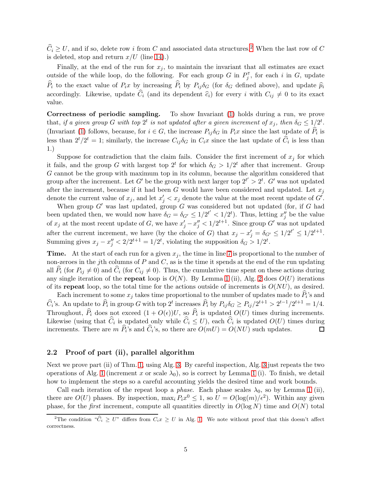$\widehat{C}_i \geq U$ , and if so, delete row i from C and associated data structures.<sup>[2](#page-5-0)</sup> When the last row of C is deleted, stop and return  $x/U$  (line [14\)](#page-4-1).)

Finally, at the end of the run for  $x_j$ , to maintain the invariant that all estimates are exact outside of the while loop, do the following. For each group G in  $P_j^{\dagger}$ , for each i in G, update  $\widehat{P}_i$  to the exact value of  $P_ix$  by increasing  $\widehat{P}_i$  by  $P_{ij}\delta_G$  (for  $\delta_G$  defined above), and update  $\widehat{p}_i$ accordingly. Likewise, update  $\hat{C}_i$  (and its dependent  $\hat{c}_i$ ) for every i with  $C_{ij} \neq 0$  to its exact value.

Correctness of periodic sampling. To show Invariant [\(1\)](#page-4-1) holds during a run, we prove that, if a given group G with top  $2^t$  is not updated after a given increment of  $x_j$ , then  $\delta_G \leq 1/2^t$ . (Invariant [\(1\)](#page-4-1) follows, because, for  $i \in G$ , the increase  $P_{ij}\delta_G$  in  $P_ix$  since the last update of  $P_i$  is less than  $2^t/2^t = 1$ ; similarly, the increase  $C_{ij}\delta_G$  in  $C_ix$  since the last update of  $\hat{C}_i$  is less than 1.)

Suppose for contradiction that the claim fails. Consider the first increment of  $x_j$  for which it fails, and the group G with largest top  $2^t$  for which  $\delta_G > 1/2^t$  after that increment. Group G cannot be the group with maximum top in its column, because the algorithm considered that group after the increment. Let G' be the group with next larger top  $2^{t'} > 2^t$ . G' was not updated after the increment, because if it had been G would have been considered and updated. Let  $x_i$ denote the current value of  $x_j$ , and let  $x'_j < x_j$  denote the value at the most recent update of  $G'$ .

When group  $G'$  was last updated, group  $G$  was considered but not updated (for, if  $G$  had been updated then, we would now have  $\delta_G = \delta_{G'} \leq 1/2^{t'} < 1/2^{t}$ . Thus, letting  $x_j^{y}$  be the value of  $x_j$  at the most recent update of G, we have  $x'_j - x''_j < 1/2^{t+1}$ . Since group G' was not updated after the current increment, we have (by the choice of G) that  $x_j - x'_j = \delta_{G'} \leq 1/2^{t'} \leq 1/2^{t+1}$ . Summing gives  $x_j - x''_j < 2/2^{t+1} = 1/2^t$ , violating the supposition  $\delta_G > 1/2^t$ .

**Time.** At the start of each run for a given  $x<sub>j</sub>$ , the time in line [7](#page-4-1) is proportional to the number of non-zeroes in the jth columns of  $P$  and  $C$ , as is the time it spends at the end of the run updating all  $P_i$  (for  $P_{ij} \neq 0$ ) and  $C_i$  (for  $C_{ij} \neq 0$ ). Thus, the cumulative time spent on these actions during any single iteration of the repeat loop is  $O(N)$ . By Lemma [1](#page-2-1) (ii), Alg. [2](#page-4-0) does  $O(U)$  iterations of its repeat loop, so the total time for the actions outside of increments is  $O(NU)$ , as desired.

Each increment to some  $x_j$  takes time proportional to the number of updates made to  $P_i$ 's and  $\widehat{C}_i$ 's. An update to  $\widehat{P}_i$  in group G with top  $2^t$  increases  $\widehat{P}_i$  by  $P_{ij}\delta_G \ge P_{ij}/2^{t+1} > 2^{t-1}/2^{t+1} = 1/4$ . Throughout,  $P_i$  does not exceed  $(1 + O(\epsilon))U$ , so  $P_i$  is updated  $O(U)$  times during increments. Likewise (using that  $C_i$  is updated only while  $C_i \leq U$ ), each  $C_i$  is updated  $O(U)$  times during increments. There are  $m P_i$ 's and  $C_i$ 's, so there are  $O(mU) = O(NU)$  such updates.  $\Box$ 

#### 2.2 Proof of part (ii), parallel algorithm

Next we prove part (ii) of Thm. [1,](#page-2-0) using Alg. [3.](#page-6-0) By careful inspection, Alg. [3](#page-6-0) just repeats the two operations of Alg. [1](#page-2-1) (increment x or scale  $\lambda_0$ ), so is correct by Lemma 1 (i). To finish, we detail how to implement the steps so a careful accounting yields the desired time and work bounds.

Call each iteration of the repeat loop a *phase*. Each phase scales  $\lambda_0$ , so by Lemma [1](#page-2-1) (ii), there are  $O(U)$  phases. By inspection,  $\max_i P_i x^0 \leq 1$ , so  $U = O(\log(m)/\epsilon^2)$ . Within any given phase, for the *first* increment, compute all quantities directly in  $O(\log N)$  time and  $O(N)$  total

<span id="page-5-0"></span><sup>&</sup>lt;sup>2</sup>The condition " $\hat{C}_i \geq U$ " differs from  $C_i x \geq U$  in Alg. [1.](#page-3-0) We note without proof that this doesn't affect correctness.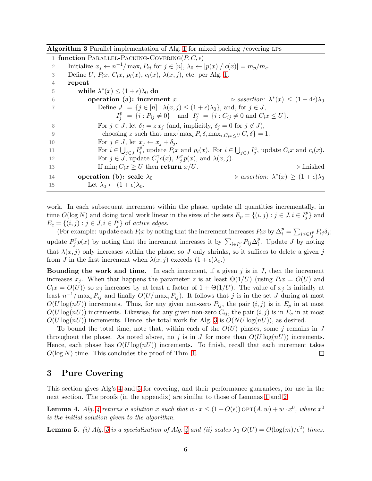<span id="page-6-0"></span>Algorithm 3 Parallel implementation of Alg. [1](#page-3-0) for mixed packing /covering LPs

1 function PARALLEL-PACKING-COVERING $(P, C, \epsilon)$ 2 Initialize  $x_j \leftarrow n^{-1}/\max_i P_{ij}$  for  $j \in [n], \lambda_0 \leftarrow |p(x)|/|c(x)| = m_p/m_c$ . 3 Define U,  $P_ix$ ,  $C_ix$ ,  $p_i(x)$ ,  $c_i(x)$ ,  $\lambda(x, j)$ , etc. per Alg. [1.](#page-3-0) 4 repeat 5 while  $\lambda^*(x) \leq (1+\epsilon)\lambda_0$  do 6 **operation** (a): increment x \* $(x) \leq (1+4\epsilon)\lambda_0$ 7 Define  $J = \{j \in [n] : \lambda(x, j) \leq (1 + \epsilon)\lambda_0\}$ , and, for  $j \in J$ ,  $I_j^p = \{i : P_{ij} \neq 0\}$  and  $I_j^c = \{i : C_{ij} \neq 0 \text{ and } C_i x \leq U\}.$ 8 For  $j \in J$ , let  $\delta_j = z x_j$  (and, implicitly,  $\delta_j = 0$  for  $j \notin J$ ), 9 choosing z such that  $\max\{\max_i P_i \delta, \max_{i:C_i x \leq U} C_i \delta\} = 1$ . 10 For  $j \in J$ , let  $x_j \leftarrow x_j + \delta_j$ . 11 For  $i \in \bigcup_{j \in J} I_j^p$ p, update  $P_ix$  and  $p_i(x)$ . For  $i \in \bigcup_{j \in J} I_j^c$ , update  $C_ix$  and  $c_i(x)$ . 12 For  $j \in J$ , update  $C_j^{\mathsf{T}}c(x)$ ,  $P_j^{\mathsf{T}}p(x)$ , and  $\lambda(x, j)$ . 13 If  $\min_i C_i x \geq U$  then **return**  $x/U$ .  $\triangleright$  finished 14 operation (b): scale  $\lambda_0$ \* $(x) \geq (1+\epsilon)\lambda_0$ 15 Let  $\lambda_0 \leftarrow (1 + \epsilon) \lambda_0$ .

work. In each subsequent increment within the phase, update all quantities incrementally, in time  $O(\log N)$  and doing total work linear in the sizes of the sets  $E_p = \{(i, j) : j \in J, i \in I_p^p\}$  $_j^p$ } and  $E_c = \{(i, j) : j \in J, i \in I_j^c\}$  of active edges.

(For example: update each  $P_ix$  by noting that the increment increases  $P_ix$  by  $\Delta_i^p = \sum_{j:i\in I_j^p} P_{ij}\delta_j;$ update  $P_j^{\mathsf{T}} p(x)$  by noting that the increment increases it by  $\sum_{i \in I_j^p} P_{ij} \Delta_i^p$  $i<sup>p</sup>$ . Update J by noting that  $\lambda(x, j)$  only increases within the phase, so J only shrinks, so it suffices to delete a given j from J in the first increment when  $\lambda(x, j)$  exceeds  $(1 + \epsilon)\lambda_0$ .)

**Bounding the work and time.** In each increment, if a given j is in  $J$ , then the increment increases  $x_j$ . When that happens the parameter z is at least  $\Theta(1/U)$  (using  $P_ix = O(U)$  and  $C_i x = O(U)$  so  $x_j$  increases by at least a factor of  $1 + \Theta(1/U)$ . The value of  $x_j$  is initially at least  $n^{-1}/\max_i P_{ij}$  and finally  $O(U/\max_i P_{ij})$ . It follows that j is in the set J during at most  $O(U \log(nU))$  increments. Thus, for any given non-zero  $P_{ij}$ , the pair  $(i, j)$  is in  $E_p$  in at most  $O(U \log(nU))$  increments. Likewise, for any given non-zero  $C_{ij}$ , the pair  $(i, j)$  is in  $E_c$  in at most  $O(U \log(nU))$  increments. Hence, the total work for Alg. [3](#page-6-0) is  $O(NU \log(nU))$ , as desired.

To bound the total time, note that, within each of the  $O(U)$  phases, some j remains in J throughout the phase. As noted above, no j is in J for more than  $O(U \log(nU))$  increments. Hence, each phase has  $O(U \log(nU))$  increments. To finish, recall that each increment takes  $O(\log N)$  time. This concludes the proof of Thm. [1.](#page-2-0)  $\Box$ 

## 3 Pure Covering

<span id="page-6-1"></span>This section gives Alg's [4](#page-7-2) and [5](#page-7-3) for covering, and their performance guarantees, for use in the next section. The proofs (in the appendix) are similar to those of Lemmas [1](#page-2-1) and [2.](#page-3-1)

**Lemma [4](#page-7-2).** Alg. 4 returns a solution x such that  $w \cdot x \le (1 + O(\epsilon))$  or  $T(A, w) + w \cdot x^0$ , where  $x^0$ is the initial solution given to the algorithm.

**Lemma [5](#page-7-3).** (i) Alg. 5 is a specialization of Alg. [4](#page-7-2) and (ii) scales  $\lambda_0 O(U) = O(\log(m)/\epsilon^2)$  times.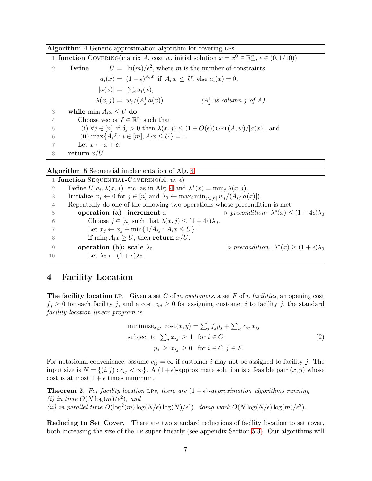<span id="page-7-2"></span>Algorithm 4 Generic approximation algorithm for covering LPs

1 **function** COVERING(matrix A, cost w, initial solution  $x = x^0 \in \mathbb{R}^n_+$ ,  $\epsilon \in (0, 1/10)$ ) 2 Define  $U = \ln(m)/\epsilon^2$ , where m is the number of constraints,  $a_i(x) = (1 - \epsilon)^{A_i x}$  if  $A_i x \leq U$ , else  $a_i(x) = 0$ ,  $|a(x)| = \sum_i a_i(x),$  $\lambda(x,j) = w_j/(A_j^{\mathsf{T}})$  $a(x)$  (A<sup>T</sup> is column j of A). 3 while  $\min_i A_i x \leq U$  do 4 Choose vector  $\delta \in \mathbb{R}^n_+$  such that 5 (i)  $\forall j \in [n]$  if  $\delta_j > 0$  then  $\lambda(x, j) \leq (1 + O(\epsilon))$  or  $T(A, w)/|a(x)|$ , and 6 (ii)  $\max\{A_i\delta : i \in [m], A_i x \leq U\} = 1.$ 7 Let  $x \leftarrow x + \delta$ . 8 return  $x/U$ 

<span id="page-7-3"></span>Algorithm 5 Sequential implementation of Alg. [4](#page-7-2)

1 function SEQUENTIAL-COVERING( $A, w, \epsilon$ ) 2 Define  $U, a_i, \lambda(x, j)$ , etc. as in Alg. [4](#page-7-2) and  $\lambda^*(x) = \min_j \lambda(x, j)$ .

3 Initialize  $x_j \leftarrow 0$  for  $j \in [n]$  and  $\lambda_0 \leftarrow \max_i \min_{j \in [n]} w_j/(A_{ij}|a(x)|)$ .

4 Repeatedly do one of the following two operations whose precondition is met:

| -5           | operation (a): increment $x$                                                 | $\rho$ precondition: $\lambda^*(x) \leq (1+4\epsilon)\lambda_0$ |
|--------------|------------------------------------------------------------------------------|-----------------------------------------------------------------|
| 6            | Choose $j \in [n]$ such that $\lambda(x, j) \leq (1 + 4\epsilon)\lambda_0$ . |                                                                 |
|              | Let $x_i \leftarrow x_i + \min\{1/A_{ij} : A_ix \leq U\}.$                   |                                                                 |
| - 8          | <b>if</b> min <sub>i</sub> $A_ix \geq U$ , then <b>return</b> $x/U$ .        |                                                                 |
| <sup>Q</sup> | operation (b): scale $\lambda_0$                                             | $\rho$ precondition: $\lambda^*(x) \geq (1+\epsilon)\lambda_0$  |
| 10           | Let $\lambda_0 \leftarrow (1+\epsilon)\lambda_0$ .                           |                                                                 |

# <span id="page-7-1"></span>4 Facility Location

**The facility location** LP. Given a set C of m customers, a set F of n facilities, an opening cost  $f_i \geq 0$  for each facility j, and a cost  $c_{ij} \geq 0$  for assigning customer i to facility j, the standard facility-location linear program is

minimize<sub>x,y</sub> cost
$$
(x, y) = \sum_j f_j y_j + \sum_{ij} c_{ij} x_{ij}
$$
  
subject to  $\sum_j x_{ij} \ge 1$  for  $i \in C$ ,  
 $y_j \ge x_{ij} \ge 0$  for  $i \in C, j \in F$ . (2)

For notational convenience, assume  $c_{ij} = \infty$  if customer i may not be assigned to facility j. The input size is  $N = \{(i, j) : c_{ij} < \infty\}$ . A  $(1 + \epsilon)$ -approximate solution is a feasible pair  $(x, y)$  whose cost is at most  $1 + \epsilon$  times minimum.

<span id="page-7-0"></span>**Theorem 2.** For facility location LPs, there are  $(1 + \epsilon)$ -approximation algorithms running (i) in time  $O(N \log(m)/\epsilon^2)$ , and (ii) in parallel time  $O(\log^2(m) \log(N/\epsilon) \log(N)/\epsilon^4)$ , doing work  $O(N \log(N/\epsilon) \log(m)/\epsilon^2)$ .

Reducing to Set Cover. There are two standard reductions of facility location to set cover, both increasing the size of the lp super-linearly (see appendix Section [5.3\)](#page-14-0). Our algorithms will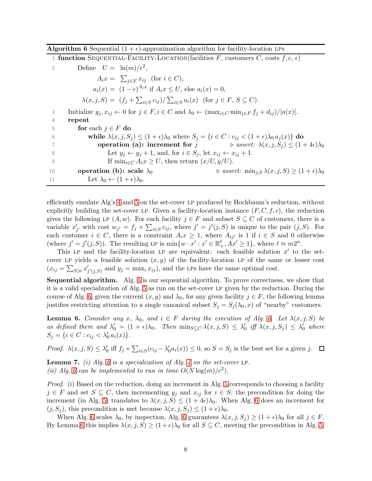<span id="page-8-0"></span>

| <b>Algorithm 6</b> Sequential $(1 + \epsilon)$ -approximation algorithm for facility-location LPs |  |  |  |  |  |  |
|---------------------------------------------------------------------------------------------------|--|--|--|--|--|--|
|---------------------------------------------------------------------------------------------------|--|--|--|--|--|--|

|                | 1 function SEQUENTIAL-FACILITY-LOCATION(facilities F, customers C, costs $f, c, \epsilon$ )                                                   |
|----------------|-----------------------------------------------------------------------------------------------------------------------------------------------|
| $\overline{2}$ | Define $U = \ln(m)/\epsilon^2$ ,                                                                                                              |
|                | $A_ix = \sum_{i \in F} x_{ij}$ (for $i \in C$ ),                                                                                              |
|                | $a_i(x) = (1 - \epsilon)^{A_i x}$ if $A_i x \leq U$ , else $a_i(x) = 0$ ,                                                                     |
|                | $\lambda(x,j,S) = (f_j + \sum_{i \in S} c_{ij}) / \sum_{i \in S} a_i(x)$ (for $j \in F, S \subseteq C$ ).                                     |
| 3              | Initialize $y_j, x_{ij} \leftarrow 0$ for $j \in F, i \in C$ and $\lambda_0 \leftarrow (\max_{i \in C} \min_{j \in F} f_j + d_{ij})/ a(x) $ . |
| 4              | repeat                                                                                                                                        |
| 5              | for each $j \in F$ do                                                                                                                         |
| 6              | while $\lambda(x, j, S_i) \leq (1 + \epsilon)\lambda_0$ where $S_i = \{i \in C : c_{ij} < (1 + \epsilon)\lambda_0 a_i(x)\}\$ do               |
|                | operation (a): increment for $j \rightarrow assert: \lambda(x, j, S_j) \leq (1+4\epsilon)\lambda_0$                                           |
| 8              | Let $y_i \leftarrow y_i + 1$ , and, for $i \in S_i$ , let $x_{ij} \leftarrow x_{ij} + 1$ .                                                    |
| 9              | If $\min_{i \in C} A_i x \geq U$ , then return $(x/U, y/U)$ .                                                                                 |
| 10             | $\triangleright$ assert: $\min_{i,S} \lambda(x, j, S) \geq (1 + \epsilon)\lambda_0$<br>operation (b): scale $\lambda_0$                       |
| 11             | Let $\lambda_0 \leftarrow (1+\epsilon)\lambda_0$ .                                                                                            |

efficiently emulate Alg's [4](#page-7-2) and [5](#page-7-3) on the set-cover lp produced by Hochbaum's reduction, without explicitly building the set-cover LP. Given a facility-location instance  $(F, C, f, c)$ , the reduction gives the following LP  $(A, w)$ . For each facility  $j \in F$  and subset  $S \subseteq C$  of customers, there is a variable  $x'_{j'}$  with cost  $w_{j'} = f_j + \sum_{i \in S} c_{ij}$ , where  $j' = j'(j, S)$  is unique to the pair  $(j, S)$ . For each customer  $i \in C$ , there is a constraint  $A_i x \geq 1$ , where  $A_{ij'}$  is 1 if  $i \in S$  and 0 otherwise (where  $j' = j'(j, S)$ ). The resulting LP is  $\min\{w \cdot x' : x' \in \mathbb{R}^{\ell}_+, Ax' \geq 1\}$ , where  $\ell \approx m2^n$ .

This LP and the facility-location LP are equivalent: each feasible solution  $x'$  to the setcover LP yields a feasible solution  $(x, y)$  of the facility-location LP of the same or lesser cost  $(x_{ij} = \sum_{S \ni i} x'_j)$  $'_{j'(j,S)}$  and  $y_j = \max_i x_{ij}$ , and the LPs have the same optimal cost.

Sequential algorithm. Alg. [6](#page-8-0) is our sequential algorithm. To prove correctness, we show that it is a valid specialization of Alg. [5](#page-7-3) as run on the set-cover LP given by the reduction. During the course of Alg. [6,](#page-8-0) given the current  $(x, y)$  and  $\lambda_0$ , for any given facility  $j \in F$ , the following lemma justifies restricting attention to a single canonical subset  $S_j = S_j(\lambda_0, x)$  of "nearby" customers.

<span id="page-8-1"></span>**Lemma [6.](#page-8-0)** Consider any x,  $\lambda_0$ , and  $i \in F$  during the execution of Alg. 6. Let  $\lambda(x, j, S)$  be as defined there and  $\lambda'_0 = (1 + \epsilon)\lambda_0$ . Then  $\min_{S \subseteq C} \lambda(x, j, S) \leq \lambda'_0$  iff  $\lambda(x, j, S_j) \leq \lambda'_0$  where  $S_j = \{i \in C : c_{ij} < \lambda'_0 a_i(x)\}.$ 

Proof.  $\lambda(x, j, S) \leq \lambda'_0$  iff  $f_j + \sum_{i \in S} (c_{ij} - \lambda'_0 a_i(x)) \leq 0$ , so  $S = S_j$  is the best set for a given j.

<span id="page-8-2"></span>**Lemma 7.** (i) Alg. [6](#page-8-0) is a specialization of Alg. [4](#page-7-2) on the set-cover LP. (ii) Alg. [6](#page-8-0) can be implemented to run in time  $O(N \log(m)/\epsilon^2)$ .

Proof. (i) Based on the reduction, doing an increment in Alg. [5](#page-7-3) corresponds to choosing a facility  $j \in F$  and set  $S \subseteq C$ , then incrementing  $y_j$  and  $x_{ij}$  for  $i \in S$ ; the precondition for doing the increment (in Alg. [5\)](#page-7-3) translates to  $\lambda(x, j, S) \leq (1 + 4\epsilon)\lambda_0$ . When Alg. [6](#page-8-0) does an increment for  $(j, S<sub>j</sub>)$ , this precondition is met because  $\lambda(x, j, S<sub>j</sub>) \leq (1 + \epsilon)\lambda_0$ .

When Alg. [6](#page-8-0) scales  $\lambda_0$ , by inspection, Alg. 6 guarantees  $\lambda(x, j, S_j) \geq (1 + \epsilon)\lambda_0$  for all  $j \in F$ . By Lemma [6](#page-8-1) this implies  $\lambda(x, j, S) \ge (1 + \epsilon)\lambda_0$  for all  $S \subseteq C$ , meeting the precondition in Alg. [5.](#page-7-3)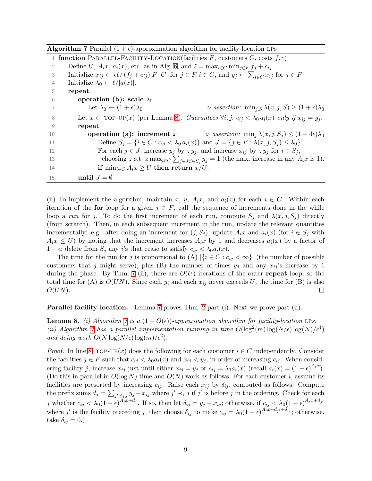|    | 1 function PARALLEL-FACILITY-LOCATION(facilities F, customers C, costs $f, c$ )                                                                          |
|----|----------------------------------------------------------------------------------------------------------------------------------------------------------|
| 2  | Define U, $A_ix$ , $a_i(x)$ , etc. as in Alg. 6, and $\ell = \max_{i \in C} \min_{i \in F} f_i + c_{ij}$ .                                               |
| 3  | Initialize $x_{ij} \leftarrow \epsilon \ell / (f_i + c_{ij})  F  C $ for $j \in F, i \in C$ , and $y_j \leftarrow \sum_{i \in C} x_{ij}$ for $j \in F$ . |
| 4  | Initialize $\lambda_0 \leftarrow \ell/ a(x) $ .                                                                                                          |
| 5  | repeat                                                                                                                                                   |
| 6  | operation (b): scale $\lambda_0$                                                                                                                         |
| 7  | Let $\lambda_0 \leftarrow (1+\epsilon)\lambda_0$ .<br>$\triangleright$ assertion: $\min_{j,S} \lambda(x,j,S) \geq (1+\epsilon)\lambda_0$                 |
| 8  | Let $x \leftarrow \text{TOP-UP}(x)$ (per Lemma 8). Guarantees $\forall i, j$ . $c_{ij} < \lambda_0 a_i(x)$ only if $x_{ij} = y_j$ .                      |
| 9  | repeat                                                                                                                                                   |
| 10 | <b>operation (a): increment</b> x $\triangleright$ assertion: $\min_i \lambda(x, j, S_i) \leq (1 + 4\epsilon)\lambda_0$                                  |
| 11 | Define $S_i = \{i \in C : c_{ij} < \lambda_0 a_i(x)\}\$ and $J = \{j \in F : \lambda(x, j, S_i) \leq \lambda_0\}.$                                       |
| 12 | For each $j \in J$ , increase $y_j$ by $zy_j$ , and increase $x_{ij}$ by $zy_j$ for $i \in S_j$ ,                                                        |
| 13 | choosing z s.t. z max <sub>i</sub> $\in$ C $\sum_{j\in J: i\in S_j} y_j = 1$ (the max. increase in any $A_i x$ is 1).                                    |
| 14 | if $\min_{i \in C} A_i x \geq U$ then return $x/U$ .                                                                                                     |
| 15 | until $J = \emptyset$                                                                                                                                    |

<span id="page-9-1"></span>**Algorithm 7** Parallel  $(1 + \epsilon)$ -approximation algorithm for facility-location LPs

(ii) To implement the algorithm, maintain x, y,  $A_ix$ , and  $a_i(x)$  for each  $i \in C$ . Within each iteration of the for loop for a given  $j \in F$ , call the sequence of increments done in the while loop a run for j. To do the first increment of each run, compute  $S_j$  and  $\lambda(x, j, S_j)$  directly (from scratch). Then, in each subsequent increment in the run, update the relevant quantities incrementally: e.g., after doing an increment for  $(j, S_j)$ , update  $A_i x$  and  $a_i(x)$  (for  $i \in S_j$  with  $A_ix \leq U$ ) by noting that the increment increases  $A_ix$  by 1 and decreases  $a_i(x)$  by a factor of  $1 - \epsilon$ ; delete from  $S_i$  any i's that cease to satisfy  $c_{ij} < \lambda_0 a_i(x)$ .

The time for the run for j is proportional to (A)  $|\{i \in C : c_{ij} < \infty\}|$  (the number of possible customers that j might serve), plus (B) the number of times  $y_i$  and any  $x_{ij}$ 's increase by 1 during the phase. By Thm. [7](#page-8-2) (ii), there are  $O(U)$  iterations of the outer repeat loop, so the total time for (A) is  $O(UN)$ . Since each  $y_i$  and each  $x_{ij}$  never exceeds U, the time for (B) is also  $O(UN)$ .  $\Box$ 

<span id="page-9-0"></span>Parallel facility location. Lemma [7](#page-8-2) proves Thm. [2](#page-7-0) part (i). Next we prove part (ii).

**Lemma 8.** (i) Algorithm [7](#page-9-1) is a  $(1 + O(\epsilon))$ -approximation algorithm for facility-location LPs. (ii) Algorithm [7](#page-9-1) has a parallel implementation running in time  $O(\log^2(m)\log(N/\epsilon))\log(N/\epsilon^4)$ and doing work  $O(N \log(N/\epsilon) \log(m)/\epsilon^2)$ .

*Proof.* In line [8,](#page-9-1)  $\text{TOP-UP}(x)$  does the following for each customer  $i \in C$  independently. Consider the facilities  $j \in F$  such that  $c_{ij} < \lambda_0 a_i(x)$  and  $x_{ij} < y_j$ , in order of increasing  $c_{ij}$ . When considering facility j, increase  $x_{ij}$  just until either  $x_{ij} = y_j$  or  $c_{ij} = \lambda_0 a_i(x)$  (recall  $a_i(x) = (1 - \epsilon)^{A_i x}$ ). (Do this in parallel in  $O(\log N)$  time and  $O(N)$  work as follows. For each customer i, assume its facilities are presorted by increasing  $c_{ij}$ . Raise each  $x_{ij}$  by  $\delta_{ij}$ , computed as follows. Compute the prefix sums  $d_j = \sum_{j' \preceq i} j y_j - x_{ij}$  where  $j' \prec_i j$  if  $j'$  is before j in the ordering. Check for each j whether  $c_{ij} < \lambda_0 (1 - \epsilon)^{A_i x + d_j}$ . If so, then let  $\delta_{ij} = y_j - x_{ij}$ ; otherwise, if  $c_{ij} < \lambda_0 (1 - \epsilon)^{A_i x + d_{j'}}$ where j' is the facility preceding j, then choose  $\delta_{ij}$  to make  $c_{ij} = \lambda_0 (1 - \epsilon)^{A_i x + d_{j'} + \delta_{ij}}$ ; otherwise, take  $\delta_{ij} = 0.$ )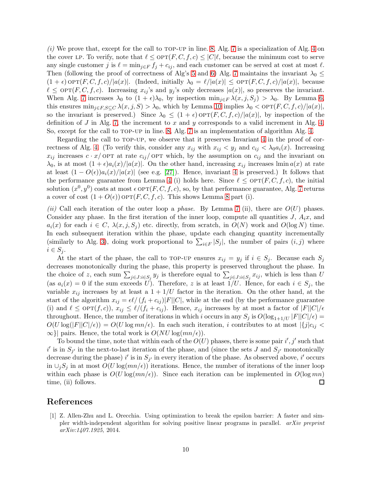$(i)$  We prove that, except for the call to TOP-UP in line. [8,](#page-9-1) Alg. [7](#page-9-1) is a specialization of Alg. [4](#page-7-2) on the cover LP. To verify, note that  $\ell \leq \text{OPT}(F, C, f, c) \leq |C|\ell$ , because the minimum cost to serve any single customer j is  $\ell = \min_{j \in F} f_j + c_{ij}$ , and each customer can be served at cost at most  $\ell$ . Then (following the proof of correctness of Alg's [5](#page-7-3) and [6\)](#page-8-0) Alg. [7](#page-9-1) maintains the invariant  $\lambda_0 \leq$  $(1 + \epsilon) \text{OPT}(F, C, f, c)/|a(x)|$ . (Indeed, initially  $\lambda_0 = \ell/|a(x)| \leq \text{OPT}(F, C, f, c)/|a(x)|$ , because  $\ell \leq \text{OPT}(F, C, f, c)$ . Increasing  $x_{ij}$ 's and  $y_j$ 's only decreases  $|a(x)|$ , so preserves the invariant. When Alg. [7](#page-9-1) increases  $\lambda_0$  to  $(1 + \epsilon)\lambda_0$ , by inspection  $\min_{j \in F} \lambda(x, j, S_j) > \lambda_0$ . By Lemma [6,](#page-8-1) this ensures  $\min_{j \in F, S \subseteq C} \lambda(x, j, S) > \lambda_0$ , which by Lemma [10](#page-13-0) implies  $\lambda_0 < \text{OPT}(F, C, f, c)/|a(x)|$ , so the invariant is preserved.) Since  $\lambda_0 \leq (1+\epsilon)$  opt $(F, C, f, c)/|a(x)|$ , by inspection of the definition of J in Alg. [7,](#page-9-1) the increment to x and y corresponds to a valid increment in Alg. [4.](#page-7-2) So, except for the call to top-up in line. [8,](#page-9-1) Alg. [7](#page-9-1) is an implementation of algorithm Alg. [4.](#page-7-2)

Regarding the call to TOP-UP, we observe that it preserves Invariant [4](#page-13-1) in the proof of cor-rectness of Alg. [4.](#page-7-2) (To verify this, consider any  $x_{ij}$  with  $x_{ij} < y_j$  and  $c_{ij} < \lambda_0 a_i(x)$ . Increasing  $x_{ij}$  increases  $c \cdot x$  optrate c<sub>ij</sub> optra which, by the assumption on  $c_{ij}$  and the invariant on  $\lambda_0$ , is at most  $(1+\epsilon)a_i(x)/|a(x)|$ . On the other hand, increasing  $x_{ij}$  increases lmin  $a(x)$  at rate at least  $(1 - O(\epsilon))a_i(x)/|a(x)|$  (see e.g. [\[27\]](#page-12-7)). Hence, invariant [4](#page-13-1) is preserved.) It follows that the performance guarantee from Lemma [4](#page-6-1) (i) holds here. Since  $\ell \leq \text{OPT}(F, C, f, c)$ , the initial solution  $(x^0, y^0)$  costs at most  $\epsilon$  OPT $(F, C, f, c)$ , so, by that performance guarantee, Alg. [7](#page-9-1) returns a cover of cost  $(1+O(\epsilon))$  OPT $(F, C, f, c)$ . This shows Lemma [8](#page-9-0) part (i).

(ii) Call each iteration of the outer loop a *phase*. By Lemma [7](#page-8-2) (ii), there are  $O(U)$  phases. Consider any phase. In the first iteration of the inner loop, compute all quantities  $J, A_i x$ , and  $a_i(x)$  for each  $i \in C$ ,  $\lambda(x, j, S_i)$  etc. directly, from scratch, in  $O(N)$  work and  $O(\log N)$  time. In each subsequent iteration within the phase, update each changing quantity incrementally (similarly to Alg. [3\)](#page-6-0), doing work proportional to  $\sum_{i\in F} |S_i|$ , the number of pairs  $(i, j)$  where  $i \in S_j$ .

At the start of the phase, the call to TOP-UP ensures  $x_{ij} = y_j$  if  $i \in S_j$ . Because each  $S_j$ decreases monotonically during the phase, this property is preserved throughout the phase. In the choice of z, each sum  $\sum_{j\in J:i\in S_j} y_j$  is therefore equal to  $\sum_{j\in J:i\in S_j} x_{ij}$ , which is less than U (as  $a_i(x) = 0$  if the sum exceeds U). Therefore, z is at least  $1/U$ . Hence, for each  $i \in S_i$ , the variable  $x_{ij}$  increases by at least a  $1 + 1/U$  factor in the iteration. On the other hand, at the start of the algorithm  $x_{ij} = \epsilon \ell / (f_i + c_{ij}) |F||C|$ , while at the end (by the performance guarantee (i) and  $\ell \leq \text{OPT}(f,c)$ ,  $x_{ij} \leq \ell/(f_i + c_{ij})$ . Hence,  $x_{ij}$  increases by at most a factor of  $|F||C|/\epsilon$ throughout. Hence, the number of iterations in which i occurs in any  $S_j$  is  $O(\log_{1+1/U} |F||C|/\epsilon)$  =  $O(U \log(|F||C|/\epsilon)) = O(U \log mn/\epsilon)$ . In each such iteration, i contributes to at most  $|{j|c_{ij}} <$  $\infty$ }| pairs. Hence, the total work is  $O(NU \log(mn/\epsilon)).$ 

To bound the time, note that within each of the  $O(U)$  phases, there is some pair i', j' such that i' is in  $S_{j'}$  in the next-to-last iteration of the phase, and (since the sets J and  $S_{j'}$  monotonically decrease during the phase) i' is in  $S_{j'}$  in every iteration of the phase. As observed above, i' occurs in  $\cup_j S_j$  in at most  $O(U \log(m/\epsilon))$  iterations. Hence, the number of iterations of the inner loop within each phase is  $O(U \log(m/\epsilon))$ . Since each iteration can be implemented in  $O(\log mn)$ time, (ii) follows.  $\Box$ 

## <span id="page-10-0"></span>References

[1] Z. Allen-Zhu and L. Orecchia. Using optimization to break the epsilon barrier: A faster and simpler width-independent algorithm for solving positive linear programs in parallel. arXiv preprint arXiv:1407.1925, 2014.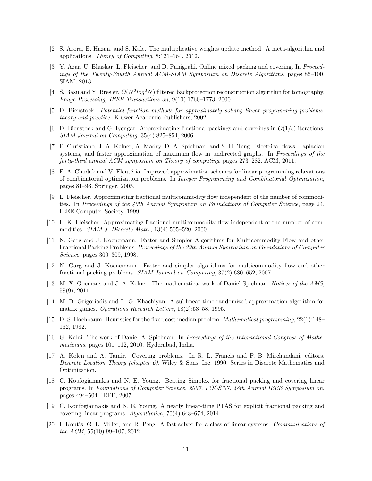- <span id="page-11-17"></span><span id="page-11-8"></span>[2] S. Arora, E. Hazan, and S. Kale. The multiplicative weights update method: A meta-algorithm and applications. Theory of Computing, 8:121–164, 2012.
- [3] Y. Azar, U. Bhaskar, L. Fleischer, and D. Panigrahi. Online mixed packing and covering. In Proceedings of the Twenty-Fourth Annual ACM-SIAM Symposium on Discrete Algorithms, pages 85–100. SIAM, 2013.
- <span id="page-11-12"></span>[4] S. Basu and Y. Bresler.  $O(N^2 \log^2 N)$  filtered backprojection reconstruction algorithm for tomography. Image Processing, IEEE Transactions on, 9(10):1760–1773, 2000.
- <span id="page-11-10"></span><span id="page-11-9"></span>[5] D. Bienstock. Potential function methods for approximately solving linear programming problems: theory and practice. Kluwer Academic Publishers, 2002.
- [6] D. Bienstock and G. Iyengar. Approximating fractional packings and coverings in  $O(1/\epsilon)$  iterations. SIAM Journal on Computing, 35(4):825–854, 2006.
- <span id="page-11-15"></span>[7] P. Christiano, J. A. Kelner, A. Madry, D. A. Spielman, and S.-H. Teng. Electrical flows, Laplacian systems, and faster approximation of maximum flow in undirected graphs. In *Proceedings of the* forty-third annual ACM symposium on Theory of computing, pages 273–282. ACM, 2011.
- <span id="page-11-11"></span>[8] F. A. Chudak and V. Eleutério. Improved approximation schemes for linear programming relaxations of combinatorial optimization problems. In Integer Programming and Combinatorial Optimization, pages 81–96. Springer, 2005.
- <span id="page-11-2"></span>[9] L. Fleischer. Approximating fractional multicommodity flow independent of the number of commodities. In Proceedings of the 40th Annual Symposium on Foundations of Computer Science, page 24. IEEE Computer Society, 1999.
- <span id="page-11-3"></span>[10] L. K. Fleischer. Approximating fractional multicommodity flow independent of the number of commodities. SIAM J. Discrete Math., 13(4):505–520, 2000.
- <span id="page-11-4"></span>[11] N. Garg and J. Koenemann. Faster and Simpler Algorithms for Multicommodity Flow and other Fractional Packing Problems. Proceedings of the 39th Annual Symposium on Foundations of Computer Science, pages 300–309, 1998.
- <span id="page-11-5"></span>[12] N. Garg and J. Koenemann. Faster and simpler algorithms for multicommodity flow and other fractional packing problems. SIAM Journal on Computing, 37(2):630–652, 2007.
- <span id="page-11-13"></span>[13] M. X. Goemans and J. A. Kelner. The mathematical work of Daniel Spielman. Notices of the AMS, 58(9), 2011.
- <span id="page-11-7"></span>[14] M. D. Grigoriadis and L. G. Khachiyan. A sublinear-time randomized approximation algorithm for matrix games. Operations Research Letters, 18(2):53–58, 1995.
- <span id="page-11-0"></span>[15] D. S. Hochbaum. Heuristics for the fixed cost median problem. Mathematical programming, 22(1):148– 162, 1982.
- <span id="page-11-14"></span>[16] G. Kalai. The work of Daniel A. Spielman. In Proceedings of the International Congress of Mathematicians, pages 101–112, 2010. Hyderabad, India.
- <span id="page-11-1"></span>[17] A. Kolen and A. Tamir. Covering problems. In R. L. Francis and P. B. Mirchandani, editors, Discrete Location Theory (chapter 6). Wiley & Sons, Inc, 1990. Series in Discrete Mathematics and Optimization.
- <span id="page-11-6"></span>[18] C. Koufogiannakis and N. E. Young. Beating Simplex for fractional packing and covering linear programs. In Foundations of Computer Science, 2007. FOCS'07. 48th Annual IEEE Symposium on, pages 494–504. IEEE, 2007.
- <span id="page-11-18"></span>[19] C. Koufogiannakis and N. E. Young. A nearly linear-time PTAS for explicit fractional packing and covering linear programs. Algorithmica, 70(4):648–674, 2014.
- <span id="page-11-16"></span>[20] I. Koutis, G. L. Miller, and R. Peng. A fast solver for a class of linear systems. Communications of the ACM,  $55(10):99-107$ ,  $2012$ .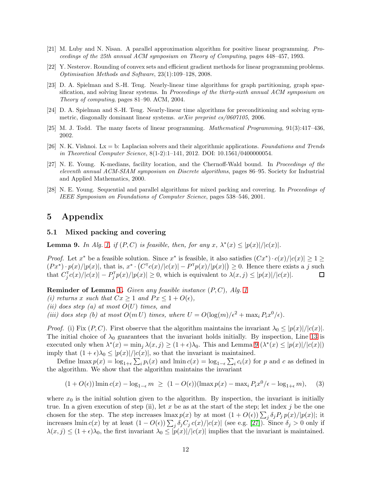- <span id="page-12-3"></span><span id="page-12-1"></span>[21] M. Luby and N. Nisan. A parallel approximation algorithm for positive linear programming. Proceedings of the 25th annual ACM symposium on Theory of Computing, pages 448–457, 1993.
- <span id="page-12-4"></span>[22] Y. Nesterov. Rounding of convex sets and efficient gradient methods for linear programming problems. Optimisation Methods and Software, 23(1):109–128, 2008.
- [23] D. A. Spielman and S.-H. Teng. Nearly-linear time algorithms for graph partitioning, graph sparsification, and solving linear systems. In *Proceedings of the thirty-sixth annual ACM symposium on* Theory of computing, pages 81–90. ACM, 2004.
- <span id="page-12-5"></span>[24] D. A. Spielman and S.-H. Teng. Nearly-linear time algorithms for preconditioning and solving symmetric, diagonally dominant linear systems. arXiv preprint cs/0607105, 2006.
- <span id="page-12-6"></span><span id="page-12-2"></span>[25] M. J. Todd. The many facets of linear programming. Mathematical Programming, 91(3):417–436, 2002.
- [26] N. K. Vishnoi.  $Lx = b$ : Laplacian solvers and their algorithmic applications. Foundations and Trends in Theoretical Computer Science, 8(1-2):1–141, 2012. DOI: 10.1561/0400000054.
- <span id="page-12-7"></span>[27] N. E. Young. K-medians, facility location, and the Chernoff-Wald bound. In Proceedings of the eleventh annual ACM-SIAM symposium on Discrete algorithms, pages 86–95. Society for Industrial and Applied Mathematics, 2000.
- <span id="page-12-0"></span>[28] N. E. Young. Sequential and parallel algorithms for mixed packing and covering. In Proceedings of IEEE Symposium on Foundations of Computer Science, pages 538–546, 2001.

# 5 Appendix

#### <span id="page-12-8"></span>5.1 Mixed packing and covering

**Lemma 9.** In Alg. [1,](#page-3-0) if  $(P, C)$  is feasible, then, for any  $x$ ,  $\lambda^*(x) \leq |p(x)|/|c(x)|$ .

*Proof.* Let  $x^*$  be a feasible solution. Since  $x^*$  is feasible, it also satisfies  $(Cx^*) \cdot c(x)/|c(x)| \geq 1 \geq$  $(Px^*) \cdot p(x)/|p(x)|$ , that is,  $x^* \cdot (C^{\mathsf{T}}c(x)/|c(x)| - P^{\mathsf{T}}p(x)/|p(x)|) \geq 0$ . Hence there exists a j such that  $C_j^{\mathsf{T}} c(x)/|c(x)| - P_j^{\mathsf{T}} p(x)/|p(x)| \geq 0$ , which is equivalent to  $\lambda(x, j) \leq |p(x)|/|c(x)|$ .  $\Box$ 

**Reminder of Lemma [1.](#page-2-1)** Given any feasible instance  $(P, C)$ , Alg. [1](#page-3-0)

- (i) returns x such that  $Cx \geq 1$  and  $Px \leq 1 + O(\epsilon)$ ,
- (ii) does step (a) at most  $O(U)$  times, and
- (iii) does step (b) at most  $O(m U)$  times, where  $U = O(\log(m)/\epsilon^2 + \max_i P_i x^0/\epsilon)$ .

*Proof.* (i) Fix  $(P, C)$ . First observe that the algorithm maintains the invariant  $\lambda_0 \leq |p(x)|/|c(x)|$ . The initial choice of  $\lambda_0$  guarantees that the invariant holds initially. By inspection, Line [13](#page-3-0) is executed only when  $\lambda^*(x) = \min_j \lambda(x, j) \ge (1 + \epsilon)\lambda_0$ . This and Lemma [9](#page-12-8)  $(\lambda^*(x) \le |p(x)|/|c(x)|)$ imply that  $(1 + \epsilon)\lambda_0 \leq |p(x)|/|c(x)|$ , so that the invariant is maintained.

Define  $\lim_{x \to a} p(x) = \log_{1+\epsilon} \sum_{i} p_i(x)$  and  $\lim_{x \to a} c(x) = \log_{1-\epsilon} \sum_{i} c_i(x)$  for p and c as defined in the algorithm. We show that the algorithm maintains the invariant

$$
(1 + O(\epsilon)) \lim_{\epsilon \to 0} c(x) - \log_{1-\epsilon} m \ge (1 - O(\epsilon)) (\lim_{\epsilon \to 0} p(x) - \max_{i} P_{i} x^{0}/\epsilon - \log_{1+\epsilon} m), \quad (3)
$$

where  $x_0$  is the initial solution given to the algorithm. By inspection, the invariant is initially true. In a given execution of step (ii), let x be as at the start of the step; let index j be the one chosen for the step. The step increases  $\max p(x)$  by at most  $(1 + O(\epsilon)) \sum_j \delta_j P_j p(x)/|p(x)|$ ; it increases lmin  $c(x)$  by at least  $(1 - O(\epsilon)) \sum_j \delta_j C_j c(x)/|c(x)|$  (see e.g. [\[27\]](#page-12-7)). Since  $\delta_j > 0$  only if  $\lambda(x, j) \leq (1 + \epsilon)\lambda_0$ , the first invariant  $\lambda_0 \leq |p(x)|/|c(x)|$  implies that the invariant is maintained.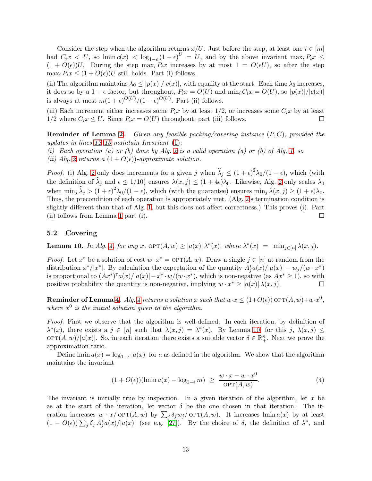Consider the step when the algorithm returns  $x/U$ . Just before the step, at least one  $i \in [m]$ had  $C_i x < U$ , so  $\lim_{\epsilon \to 0} c(x) < \log_{1-\epsilon} (1-\epsilon)^U = U$ , and by the above invariant  $\max_i P_i x \leq$  $(1 + O(\epsilon))U$ . During the step max<sub>i</sub>  $P_ix$  increases by at most  $1 = O(\epsilon U)$ , so after the step  $\max_i P_i x \leq (1 + O(\epsilon))U$  still holds. Part (i) follows.

(ii) The algorithm maintains  $\lambda_0 \leq |p(x)|/|c(x)|$ , with equality at the start. Each time  $\lambda_0$  increases, it does so by a  $1 + \epsilon$  factor, but throughout,  $P_i x = O(U)$  and  $\min_i C_i x = O(U)$ , so  $|p(x)|/|c(x)|$ is always at most  $m(1+\epsilon)^{O(U)}/(1-\epsilon)^{O(U)}$ . Part (ii) follows.

(iii) Each increment either increases some  $P_ix$  by at least  $1/2$ , or increases some  $C_ix$  by at least  $1/2$  where  $C_i x \leq U$ . Since  $P_i x = O(U)$  throughout, part (iii) follows. П

**Reminder of Lemma [2.](#page-3-1)** Given any feasible packing/covering instance  $(P, C)$ , provided the updates in lines  $12-13$  maintain Invariant  $(1)$ :

(i) Each operation (a) or (b) done by Alg. [2](#page-4-0) is a valid operation (a) or (b) of Alg. [1,](#page-3-0) so

(ii) Alg. [2](#page-4-0) returns a  $(1+O(\epsilon))$ -approximate solution.

*Proof.* (i) Alg. [2](#page-4-0) only does increments for a given j when  $\hat{\lambda}_j \leq (1+\epsilon)^2 \lambda_0/(1-\epsilon)$ , which (with the definition of  $\lambda_j$  and  $\epsilon \leq 1/10$ ) ensures  $\lambda(x, j) \leq (1 + 4\epsilon)\lambda_0$ . Likewise, Alg. [2](#page-4-0) only scales  $\lambda_0$ when  $\min_j \hat{\lambda}_j > (1+\epsilon)^2 \lambda_0/(1-\epsilon)$ , which (with the guarantee) ensures  $\min_j \lambda(x,j) \geq (1+\epsilon)\lambda_0$ . Thus, the precondition of each operation is appropriately met. (Alg. [2'](#page-4-0)s termination condition is slightly different than that of Alg. [1,](#page-3-0) but this does not affect correctness.) This proves (i). Part (ii) follows from Lemma [1](#page-2-1) part (i).  $\Box$ 

#### <span id="page-13-0"></span>5.2 Covering

**Lemma 10.** In Alg. [4,](#page-7-2) for any x,  $\text{OPT}(A, w) \ge |a(x)| \lambda^*(x)$ , where  $\lambda^*(x) = \min_{j \in [n]} \lambda(x, j)$ .

*Proof.* Let  $x^*$  be a solution of cost  $w \cdot x^* = \text{OPT}(A, w)$ . Draw a single  $j \in [n]$  at random from the distribution  $x^*/|x^*|$ . By calculation the expectation of the quantity  $A_j^{\dagger}a(x)/|a(x)| - w_j/(w \cdot x^*)$ is proportional to  $(Ax^*)^{\dagger}a(x)/|a(x)|-x^*\cdot w/(w\cdot x^*)$ , which is non-negative (as  $Ax^*\geq 1$ ), so with positive probability the quantity is non-negative, implying  $w \cdot x^* \geq |a(x)| \lambda(x, j)$ .  $\Box$ 

**Reminder of Lemma [4.](#page-6-1)** Alg. [4](#page-7-2) returns a solution x such that  $w \cdot x \le (1+O(\epsilon))$   $\text{OPT}(A, w) + w \cdot x^0$ , where  $x^0$  is the initial solution given to the algorithm.

Proof. First we observe that the algorithm is well-defined. In each iteration, by definition of  $\lambda^*(x)$ , there exists a  $j \in [n]$  such that  $\lambda(x, j) = \lambda^*(x)$ . By Lemma [10,](#page-13-0) for this j,  $\lambda(x, j) \le$  $\text{OPT}(A, w)/|a(x)|$ . So, in each iteration there exists a suitable vector  $\delta \in \mathbb{R}^n_+$ . Next we prove the approximation ratio.

Define  $\lim_{a \to a} a(x) = \log_{1-\epsilon} |a(x)|$  for a as defined in the algorithm. We show that the algorithm maintains the invariant

<span id="page-13-1"></span>
$$
(1 + O(\epsilon))(\text{lmin } a(x) - \log_{1-\epsilon} m) \ge \frac{w \cdot x - w \cdot x^0}{\text{OPT}(A, w)}.
$$
\n(4)

The invariant is initially true by inspection. In a given iteration of the algorithm, let  $x$  be as at the start of the iteration, let vector  $\delta$  be the one chosen in that iteration. The iteration increases  $w \cdot x / \text{OPT}(A, w)$  by  $\sum_j \delta_j w_j / \text{OPT}(A, w)$ . It increases lmin  $a(x)$  by at least  $(1 - O(\epsilon)) \sum_j \delta_j A_j^{\dagger} a(x)/|a(x)|$  (see e.g. [\[27\]](#page-12-7)). By the choice of  $\delta$ , the definition of  $\lambda^*$ , and